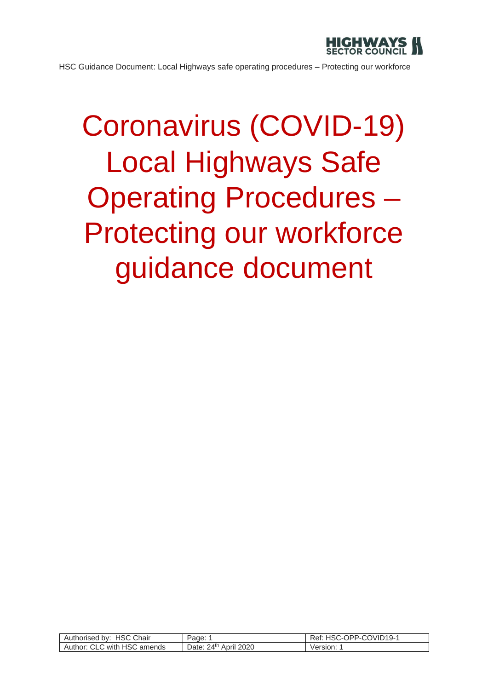

# Coronavirus (COVID-19) Local Highways Safe Operating Procedures – Protecting our workforce guidance document

| Authorised by: HSC C<br>Chair | Page:                                   | HSC-OPP-COVID19-1<br>Ret: |
|-------------------------------|-----------------------------------------|---------------------------|
| Author: CLC with HSC amends   | 24 <sup>th</sup><br>April 2020<br>Date: | √ersion:                  |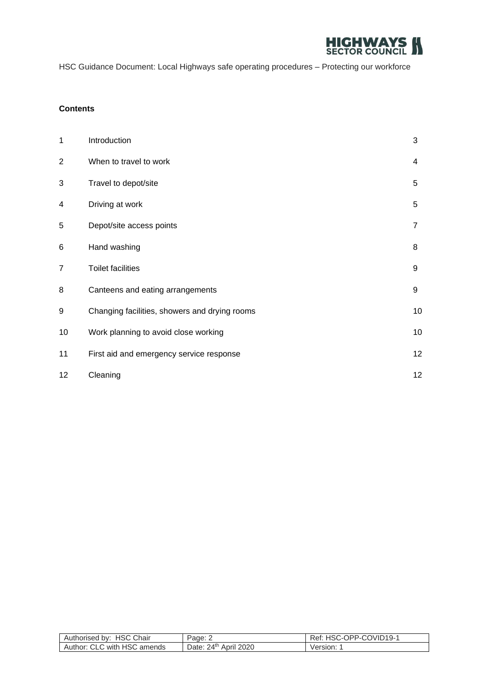

#### **Contents**

| 1               | Introduction                                  | 3              |
|-----------------|-----------------------------------------------|----------------|
| $\mathbf{2}$    | When to travel to work                        | 4              |
| 3               | Travel to depot/site                          | 5              |
| 4               | Driving at work                               | 5              |
| 5               | Depot/site access points                      | $\overline{7}$ |
| 6               | Hand washing                                  | 8              |
| 7               | <b>Toilet facilities</b>                      | 9              |
| 8               | Canteens and eating arrangements              | 9              |
| 9               | Changing facilities, showers and drying rooms | 10             |
| 10              | Work planning to avoid close working          | 10             |
| 11              | First aid and emergency service response      | 12             |
| 12 <sup>2</sup> | Cleaning                                      | 12             |

| . HSC Chair<br>Authorised by:    | Page: $\angle$                          | HSC-OPP-COVID19-1<br>Ret: |
|----------------------------------|-----------------------------------------|---------------------------|
| CLC with HSC amends<br>Author: 0 | 24 <sup>th</sup><br>April 2020<br>Date: | Version: 1                |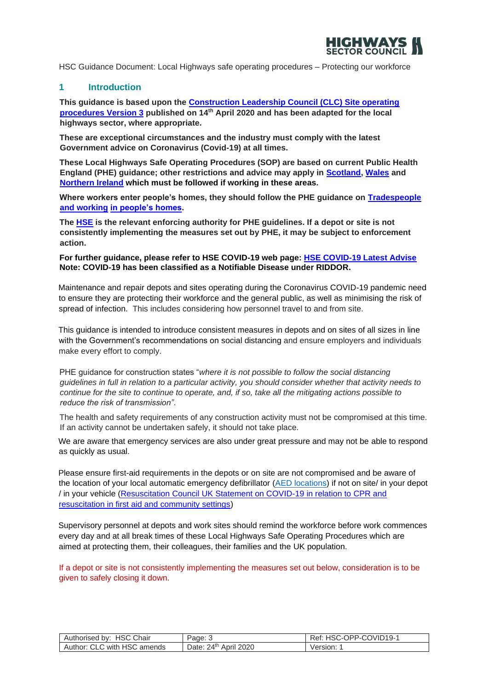

## **1 Introduction**

**This guidance is based upon the [Construction Leadership Council \(CLC\) Site operating](https://www.constructionleadershipcouncil.co.uk/news/site-operating-procedures-version-3-published/)  [procedures Version 3](https://www.constructionleadershipcouncil.co.uk/news/site-operating-procedures-version-3-published/) published on 14th April 2020 and has been adapted for the local highways sector, where appropriate.**

**These are exceptional circumstances and the industry must comply with the latest Government advice on Coronavirus (Covid-19) at all times.** 

**These Local Highways Safe Operating Procedures (SOP) are based on current Public Health England (PHE) guidance; other restrictions and advice may apply in [Scotland,](https://www.gov.scot/publications/coronavirus-covid-19-construction-sector-guidance/) [Wales](https://gov.wales/taking-all-reasonable-measures-maintain-physical-distancing-workplace) [a](https://gov.wales/taking-all-reasonable-measures-maintain-physical-distancing-workplace)nd [Northern Ireland](https://www.nibusinessinfo.co.uk/content/coronavirus-workplace-safety-guidelines-and-social-distancing) which must be followed if working in these area[s.](https://www.nibusinessinfo.co.uk/content/coronavirus-workplace-safety-guidelines-and-social-distancing)**

**Where workers enter people's homes, they should follow the PHE guidance on [Tradespeople](https://www.gov.uk/guidance/social-distancing-in-the-workplace-during-coronavirus-covid-19-sector-guidance#tradespeople-and-working-in-peoples-homes)  [and working](https://www.gov.uk/guidance/social-distancing-in-the-workplace-during-coronavirus-covid-19-sector-guidance#tradespeople-and-working-in-peoples-homes) [in people's homes.](https://www.gov.uk/guidance/social-distancing-in-the-workplace-during-coronavirus-covid-19-sector-guidance#tradespeople-and-working-in-peoples-homes)**

**The [HSE](https://www.hse.gov.uk/news/coronavirus.htm?utm_source=hse.gov.uk&utm_medium=refferal&utm_campaign=coronavirus&utm_content=home-page-banner) is the relevant enforcing authority for PHE guidelines. If a depot or site is not consistently implementing the measures set out by PHE, it may be subject to enforcement action.** 

#### **For further guidance, please refer to HSE COVID-19 web page: [HSE COVID-19 Latest Advise](https://www.hse.gov.uk/news/coronavirus.htm) Note: COVID-19 has been classified as a Notifiable Disease under RIDDOR.**

Maintenance and repair depots and sites operating during the Coronavirus COVID-19 pandemic need to ensure they are protecting their workforce and the general public, as well as minimising the risk of spread of infection. This includes considering how personnel travel to and from site.

This guidance is intended to introduce consistent measures in depots and on sites of all sizes in line with the Government's recommendations on [social distancing](https://www.gov.uk/government/publications/covid-19-guidance-on-social-distancing-and-for-vulnerable-people/guidance-on-social-distancing-for-everyone-in-the-uk-and-protecting-older-people-and-vulnerable-adults) and ensure employers and individuals make every effort to comply.

PHE guidance for construction states "*where it is not possible to follow the social distancing guidelines in full in relation to a particular activity, you should consider whether that activity needs to continue for the site to continue to operate, and, if so, take all the mitigating actions possible to reduce the risk of transmission"*.

The health and safety requirements of any construction activity must not be compromised at this time. If an activity cannot be undertaken safely, it should not take place.

We are aware that emergency services are also under great pressure and may not be able to respond as quickly as usual.

Please ensure first-aid requirements in the depots or on site are not compromised and be aware of the location of your local automatic emergency defibrillator [\(AED locations\)](http://www.heartsafe.org.uk/aed-locations) if not on site/ in your depot / in your vehicle [\(Resuscitation Council UK Statement on COVID-19 in relation to CPR and](https://www.resus.org.uk/media/statements/resuscitation-council-uk-statements-on-covid-19-coronavirus-cpr-and-resuscitation/covid-community/)  [resuscitation in first aid and community settings\)](https://www.resus.org.uk/media/statements/resuscitation-council-uk-statements-on-covid-19-coronavirus-cpr-and-resuscitation/covid-community/)

Supervisory personnel at depots and work sites should remind the workforce before work commences every day and at all break times of these Local Highways Safe Operating Procedures which are aimed at protecting them, their colleagues, their families and the UK population.

If a depot or site is not consistently implementing the measures set out below, consideration is to be given to safely closing it down.

| by: HSC Chair<br>Authorised          | Page: J                      | -OPP-COVID19-1<br>HSC<br>Rei.<br>$-1$ |
|--------------------------------------|------------------------------|---------------------------------------|
| ; with HSC amends<br>Author:<br>CLC. | ว⊿th_<br>Date:<br>April 2020 | Version:                              |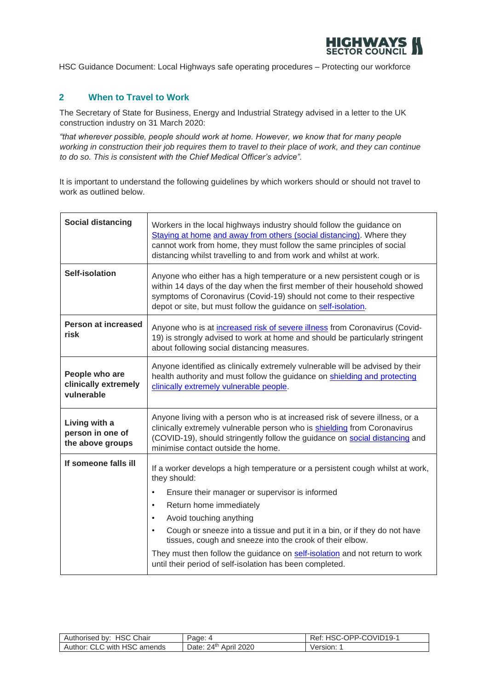

## **2 When to Travel to Work**

The Secretary of State for Business, Energy and Industrial Strategy advised in a letter to the UK construction industry on 31 March 2020:

*"that wherever possible, people should work at home. However, we know that for many people working in construction their job requires them to travel to their place of work, and they can continue to do so. This is consistent with the Chief Medical Officer's advice".* 

It is important to understand the following guidelines by which workers should or should not travel to work as outlined below.

| <b>Social distancing</b>                              | Workers in the local highways industry should follow the guidance on<br>Staying at home and away from others (social distancing). Where they<br>cannot work from home, they must follow the same principles of social<br>distancing whilst travelling to and from work and whilst at work.                                                                                                                                                                                                                                                    |
|-------------------------------------------------------|-----------------------------------------------------------------------------------------------------------------------------------------------------------------------------------------------------------------------------------------------------------------------------------------------------------------------------------------------------------------------------------------------------------------------------------------------------------------------------------------------------------------------------------------------|
| <b>Self-isolation</b>                                 | Anyone who either has a high temperature or a new persistent cough or is<br>within 14 days of the day when the first member of their household showed<br>symptoms of Coronavirus (Covid-19) should not come to their respective<br>depot or site, but must follow the guidance on self-isolation.                                                                                                                                                                                                                                             |
| Person at increased<br>risk                           | Anyone who is at <i>increased risk of severe illness</i> from Coronavirus (Covid-<br>19) is strongly advised to work at home and should be particularly stringent<br>about following social distancing measures.                                                                                                                                                                                                                                                                                                                              |
| People who are<br>clinically extremely<br>vulnerable  | Anyone identified as clinically extremely vulnerable will be advised by their<br>health authority and must follow the guidance on shielding and protecting<br>clinically extremely vulnerable people.                                                                                                                                                                                                                                                                                                                                         |
| Living with a<br>person in one of<br>the above groups | Anyone living with a person who is at increased risk of severe illness, or a<br>clinically extremely vulnerable person who is shielding from Coronavirus<br>(COVID-19), should stringently follow the guidance on social distancing and<br>minimise contact outside the home.                                                                                                                                                                                                                                                                 |
| If someone falls ill                                  | If a worker develops a high temperature or a persistent cough whilst at work,<br>they should:<br>Ensure their manager or supervisor is informed<br>$\bullet$<br>Return home immediately<br>$\bullet$<br>Avoid touching anything<br>$\bullet$<br>Cough or sneeze into a tissue and put it in a bin, or if they do not have<br>$\bullet$<br>tissues, cough and sneeze into the crook of their elbow.<br>They must then follow the guidance on self-isolation and not return to work<br>until their period of self-isolation has been completed. |

| Authorised by: HSC Chair         | Page:                                | HSC-OPP-COVID19-1<br>Ret: |
|----------------------------------|--------------------------------------|---------------------------|
| CLC with HSC amends<br>Author: 0 | 24 <sup>th</sup> April 2020<br>Date: | Version:                  |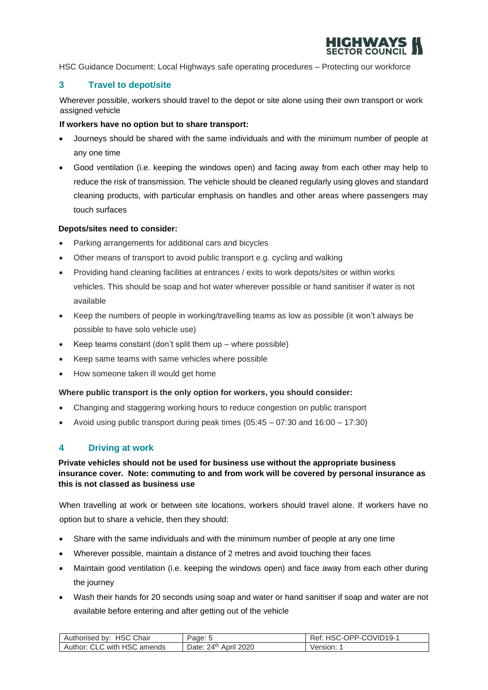

## **3 Travel to depot/site**

Wherever possible, workers should travel to the depot or site alone using their own transport or work assigned vehicle

#### **If workers have no option but to share transport:**

- Journeys should be shared with the same individuals and with the minimum number of people at any one time
- Good ventilation (i.e. keeping the windows open) and facing away from each other may help to reduce the risk of transmission. The vehicle should be cleaned regularly using gloves and standard cleaning products, with particular emphasis on handles and other areas where passengers may touch surfaces

#### **Depots/sites need to consider:**

- Parking arrangements for additional cars and bicycles
- Other means of transport to avoid public transport e.g. cycling and walking
- Providing hand cleaning facilities at entrances / exits to work depots/sites or within works vehicles. This should be soap and hot water wherever possible or hand sanitiser if water is not available
- Keep the numbers of people in working/travelling teams as low as possible (it won't always be possible to have solo vehicle use)
- Keep teams constant (don't split them up where possible)
- Keep same teams with same vehicles where possible
- How someone taken ill would get home

#### **Where public transport is the only option for workers, you should consider:**

- Changing and staggering working hours to reduce congestion on public transport
- Avoid using public transport during peak times (05:45 07:30 and 16:00 17:30)

## **4 Driving at work**

#### **Private vehicles should not be used for business use without the appropriate business insurance cover. Note: commuting to and from work will be covered by personal insurance as this is not classed as business use**

When travelling at work or between site locations, workers should travel alone. If workers have no option but to share a vehicle, then they should:

- Share with the same individuals and with the minimum number of people at any one time
- Wherever possible, maintain a distance of 2 metres and avoid touching their faces
- Maintain good ventilation (i.e. keeping the windows open) and face away from each other during the journey
- Wash their hands for 20 seconds using soap and water or hand sanitiser if soap and water are not available before entering and after getting out of the vehicle

| <b>HSC</b><br>Chair<br>Authorised by: | Page:                      | . HSC-OPP-COVID19-1<br>Ket. |
|---------------------------------------|----------------------------|-----------------------------|
| CLC with HSC<br>Author:<br>amends     | April 2020<br>י∆2<br>Date: | Version:                    |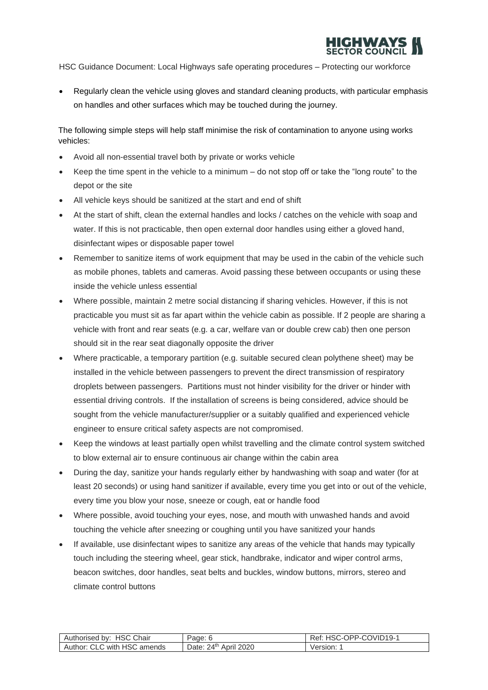

• Regularly clean the vehicle using gloves and standard cleaning products, with particular emphasis on handles and other surfaces which may be touched during the journey.

The following simple steps will help staff minimise the risk of contamination to anyone using works vehicles:

- Avoid all non-essential travel both by private or works vehicle
- Keep the time spent in the vehicle to a minimum do not stop off or take the "long route" to the depot or the site
- All vehicle keys should be sanitized at the start and end of shift
- At the start of shift, clean the external handles and locks / catches on the vehicle with soap and water. If this is not practicable, then open external door handles using either a gloved hand, disinfectant wipes or disposable paper towel
- Remember to sanitize items of work equipment that may be used in the cabin of the vehicle such as mobile phones, tablets and cameras. Avoid passing these between occupants or using these inside the vehicle unless essential
- Where possible, maintain 2 metre social distancing if sharing vehicles. However, if this is not practicable you must sit as far apart within the vehicle cabin as possible. If 2 people are sharing a vehicle with front and rear seats (e.g. a car, welfare van or double crew cab) then one person should sit in the rear seat diagonally opposite the driver
- Where practicable, a temporary partition (e.g. suitable secured clean polythene sheet) may be installed in the vehicle between passengers to prevent the direct transmission of respiratory droplets between passengers. Partitions must not hinder visibility for the driver or hinder with essential driving controls. If the installation of screens is being considered, advice should be sought from the vehicle manufacturer/supplier or a suitably qualified and experienced vehicle engineer to ensure critical safety aspects are not compromised.
- Keep the windows at least partially open whilst travelling and the climate control system switched to blow external air to ensure continuous air change within the cabin area
- During the day, sanitize your hands regularly either by handwashing with soap and water (for at least 20 seconds) or using hand sanitizer if available, every time you get into or out of the vehicle, every time you blow your nose, sneeze or cough, eat or handle food
- Where possible, avoid touching your eyes, nose, and mouth with unwashed hands and avoid touching the vehicle after sneezing or coughing until you have sanitized your hands
- If available, use disinfectant wipes to sanitize any areas of the vehicle that hands may typically touch including the steering wheel, gear stick, handbrake, indicator and wiper control arms, beacon switches, door handles, seat belts and buckles, window buttons, mirrors, stereo and climate control buttons

| Authorised by: HSC Chair    | Page:                      | こ-OPP-COVID19-1<br><b>HSC</b> |
|-----------------------------|----------------------------|-------------------------------|
| Author: CLC with HSC amends | 24th April 2020<br>Date: 2 | Version:                      |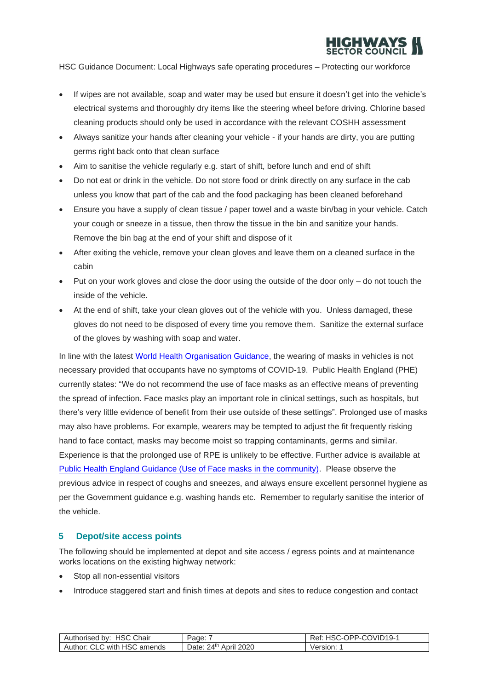

- If wipes are not available, soap and water may be used but ensure it doesn't get into the vehicle's electrical systems and thoroughly dry items like the steering wheel before driving. Chlorine based cleaning products should only be used in accordance with the relevant COSHH assessment
- Always sanitize your hands after cleaning your vehicle if your hands are dirty, you are putting germs right back onto that clean surface
- Aim to sanitise the vehicle regularly e.g. start of shift, before lunch and end of shift
- Do not eat or drink in the vehicle. Do not store food or drink directly on any surface in the cab unless you know that part of the cab and the food packaging has been cleaned beforehand
- Ensure you have a supply of clean tissue / paper towel and a waste bin/bag in your vehicle. Catch your cough or sneeze in a tissue, then throw the tissue in the bin and sanitize your hands. Remove the bin bag at the end of your shift and dispose of it
- After exiting the vehicle, remove your clean gloves and leave them on a cleaned surface in the cabin
- Put on your work gloves and close the door using the outside of the door only do not touch the inside of the vehicle.
- At the end of shift, take your clean gloves out of the vehicle with you. Unless damaged, these gloves do not need to be disposed of every time you remove them. Sanitize the external surface of the gloves by washing with soap and water.

In line with the latest [World Health Organisation Guidance,](https://www.who.int/emergencies/diseases/novel-coronavirus-2019/advice-for-public/when-and-how-to-use-masks) the wearing of masks in vehicles is not necessary provided that occupants have no symptoms of COVID-19. Public Health England (PHE) currently states: "We do not recommend the use of face masks as an effective means of preventing the spread of infection. Face masks play an important role in clinical settings, such as hospitals, but there's very little evidence of benefit from their use outside of these settings". Prolonged use of masks may also have problems. For example, wearers may be tempted to adjust the fit frequently risking hand to face contact, masks may become moist so trapping contaminants, germs and similar. Experience is that the prolonged use of RPE is unlikely to be effective. Further advice is available at [Public Health England Guidance \(Use of Face masks in the community\).](https://www.gov.uk/government/publications/guidance-to-employers-and-businesses-about-covid-19/guidance-for-employers-and-businesses-on-coronavirus-covid-19) Please observe the previous advice in respect of coughs and sneezes, and always ensure excellent personnel hygiene as per the Government guidance e.g. washing hands etc. Remember to regularly sanitise the interior of the vehicle.

## **5 Depot/site access points**

The following should be implemented at depot and site access / egress points and at maintenance works locations on the existing highway network:

- Stop all non-essential visitors
- Introduce staggered start and finish times at depots and sites to reduce congestion and contact

| Authorised by: HSC Chair    | Page:                 | HSC-OPP-COVID19-1<br>Ret: |
|-----------------------------|-----------------------|---------------------------|
| Author: CLC with HSC amends | Date: 24th April 2020 | Version:                  |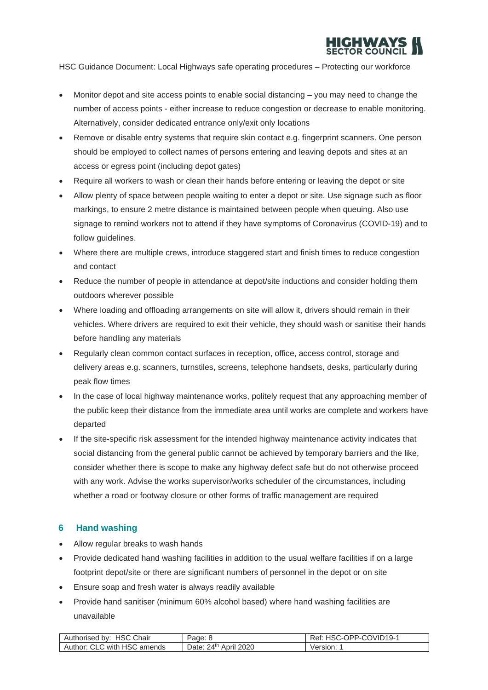

- Monitor depot and site access points to enable social distancing you may need to change the number of access points - either increase to reduce congestion or decrease to enable monitoring. Alternatively, consider dedicated entrance only/exit only locations
- Remove or disable entry systems that require skin contact e.g. fingerprint scanners. One person should be employed to collect names of persons entering and leaving depots and sites at an access or egress point (including depot gates)
- Require all workers to wash or clean their hands before entering or leaving the depot or site
- Allow plenty of space between people waiting to enter a depot or site. Use signage such as floor markings, to ensure 2 metre distance is maintained between people when queuing. Also use signage to remind workers not to attend if they have symptoms of Coronavirus (COVID-19) and to follow guidelines.
- Where there are multiple crews, introduce staggered start and finish times to reduce congestion and contact
- Reduce the number of people in attendance at depot/site inductions and consider holding them outdoors wherever possible
- Where loading and offloading arrangements on site will allow it, drivers should remain in their vehicles. Where drivers are required to exit their vehicle, they should wash or sanitise their hands before handling any materials
- Regularly clean common contact surfaces in reception, office, access control, storage and delivery areas e.g. scanners, turnstiles, screens, telephone handsets, desks, particularly during peak flow times
- In the case of local highway maintenance works, politely request that any approaching member of the public keep their distance from the immediate area until works are complete and workers have departed
- If the site-specific risk assessment for the intended highway maintenance activity indicates that social distancing from the general public cannot be achieved by temporary barriers and the like, consider whether there is scope to make any highway defect safe but do not otherwise proceed with any work. Advise the works supervisor/works scheduler of the circumstances, including whether a road or footway closure or other forms of traffic management are required

# **6 Hand washing**

- Allow regular breaks to wash hands
- Provide dedicated hand washing facilities in addition to the usual welfare facilities if on a large footprint depot/site or there are significant numbers of personnel in the depot or on site
- Ensure soap and fresh water is always readily available
- Provide hand sanitiser (minimum 60% alcohol based) where hand washing facilities are unavailable

| . Chair<br>HSC U<br>Authorised by: | Page:                                     | OPP-CU<br>COVID19-1<br>HSC<br>Rei.<br>$-1$ |
|------------------------------------|-------------------------------------------|--------------------------------------------|
| with HSC<br>Author: CLC<br>amends  | $24^{\text{th}}$ .<br>April 2020<br>Date: | Version:                                   |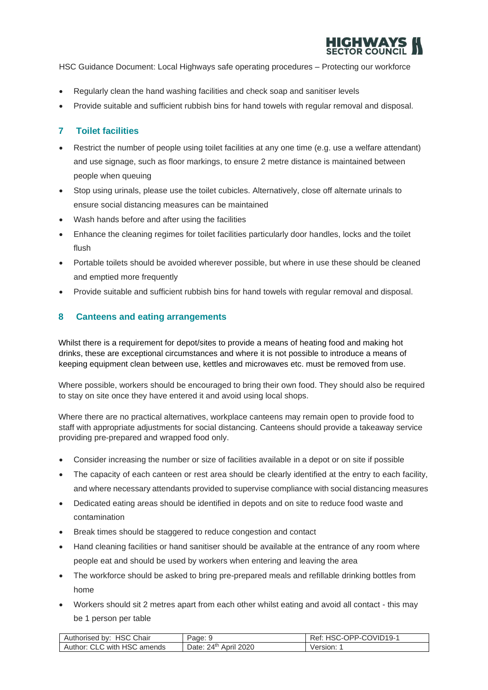

- Regularly clean the hand washing facilities and check soap and sanitiser levels
- Provide suitable and sufficient rubbish bins for hand towels with regular removal and disposal.

#### **7 Toilet facilities**

- Restrict the number of people using toilet facilities at any one time (e.g. use a welfare attendant) and use signage, such as floor markings, to ensure 2 metre distance is maintained between people when queuing
- Stop using urinals, please use the toilet cubicles. Alternatively, close off alternate urinals to ensure social distancing measures can be maintained
- Wash hands before and after using the facilities
- Enhance the cleaning regimes for toilet facilities particularly door handles, locks and the toilet flush
- Portable toilets should be avoided wherever possible, but where in use these should be cleaned and emptied more frequently
- Provide suitable and sufficient rubbish bins for hand towels with regular removal and disposal.

#### **8 Canteens and eating arrangements**

Whilst there is a requirement for depot/sites to provide a means of heating food and making hot drinks, these are exceptional circumstances and where it is not possible to introduce a means of keeping equipment clean between use, kettles and microwaves etc. must be removed from use.

Where possible, workers should be encouraged to bring their own food. They should also be required to stay on site once they have entered it and avoid using local shops.

Where there are no practical alternatives, workplace canteens may remain open to provide food to staff with appropriate adjustments for social distancing. Canteens should provide a takeaway service providing pre-prepared and wrapped food only.

- Consider increasing the number or size of facilities available in a depot or on site if possible
- The capacity of each canteen or rest area should be clearly identified at the entry to each facility, and where necessary attendants provided to supervise compliance with social distancing measures
- Dedicated eating areas should be identified in depots and on site to reduce food waste and contamination
- Break times should be staggered to reduce congestion and contact
- Hand cleaning facilities or hand sanitiser should be available at the entrance of any room where people eat and should be used by workers when entering and leaving the area
- The workforce should be asked to bring pre-prepared meals and refillable drinking bottles from home
- Workers should sit 2 metres apart from each other whilst eating and avoid all contact this may be 1 person per table

| . HSC Chair<br>Authorised<br>bv: | Page: J                     | OPP-COVID19-1<br>≺ет.<br>HSL<br>$-1$ |
|----------------------------------|-----------------------------|--------------------------------------|
| Author: CLC with HSC<br>amends   | י∆⊄נ<br>Date:<br>April 2020 | /ersion:                             |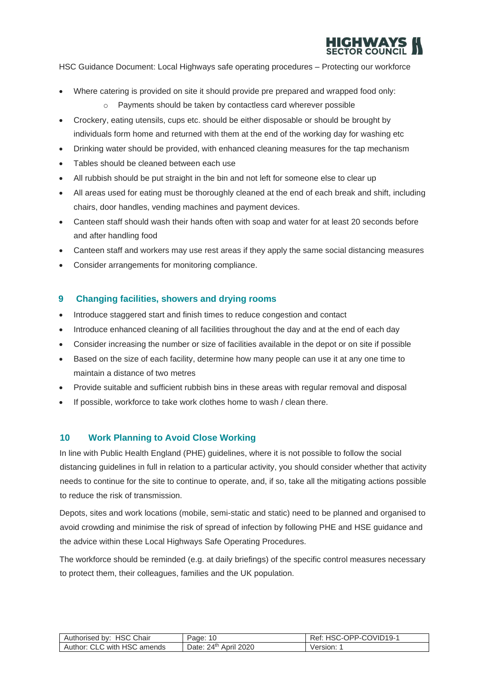

- Where catering is provided on site it should provide pre prepared and wrapped food only:
	- o Payments should be taken by contactless card wherever possible
- Crockery, eating utensils, cups etc. should be either disposable or should be brought by individuals form home and returned with them at the end of the working day for washing etc
- Drinking water should be provided, with enhanced cleaning measures for the tap mechanism
- Tables should be cleaned between each use
- All rubbish should be put straight in the bin and not left for someone else to clear up
- All areas used for eating must be thoroughly cleaned at the end of each break and shift, including chairs, door handles, vending machines and payment devices.
- Canteen staff should wash their hands often with soap and water for at least 20 seconds before and after handling food
- Canteen staff and workers may use rest areas if they apply the same social distancing measures
- Consider arrangements for monitoring compliance.

#### **9 Changing facilities, showers and drying rooms**

- Introduce staggered start and finish times to reduce congestion and contact
- Introduce enhanced cleaning of all facilities throughout the day and at the end of each day
- Consider increasing the number or size of facilities available in the depot or on site if possible
- Based on the size of each facility, determine how many people can use it at any one time to maintain a distance of two metres
- Provide suitable and sufficient rubbish bins in these areas with regular removal and disposal
- If possible, workforce to take work clothes home to wash / clean there.

#### **10 Work Planning to Avoid Close Working**

In line with Public Health England (PHE) guidelines, where it is not possible to follow the [social](https://www.gov.uk/government/publications/full-guidance-on-staying-at-home-and-away-from-others/full-guidance-on-staying-at-home-and-away-from-others)  [distancing guidelines](https://www.gov.uk/government/publications/full-guidance-on-staying-at-home-and-away-from-others/full-guidance-on-staying-at-home-and-away-from-others) [in](https://www.gov.uk/government/publications/full-guidance-on-staying-at-home-and-away-from-others/full-guidance-on-staying-at-home-and-away-from-others) full in relation to a particular activity, you should consider whether that activity needs to continue for the site to continue to operate, and, if so, take all the mitigating actions possible to reduce the risk of transmission.

Depots, sites and work locations (mobile, semi-static and static) need to be planned and organised to avoid crowding and minimise the risk of spread of infection by following PHE and HSE guidance and the advice within these Local Highways Safe Operating Procedures.

The workforce should be reminded (e.g. at daily briefings) of the specific control measures necessary to protect them, their colleagues, families and the UK population.

| Authorised by: HSC Chair    | Page:                 | HSC-OPP-COVID19-1<br>Ret. |
|-----------------------------|-----------------------|---------------------------|
| Author: CLC with HSC amends | Date: 24th April 2020 | Version:                  |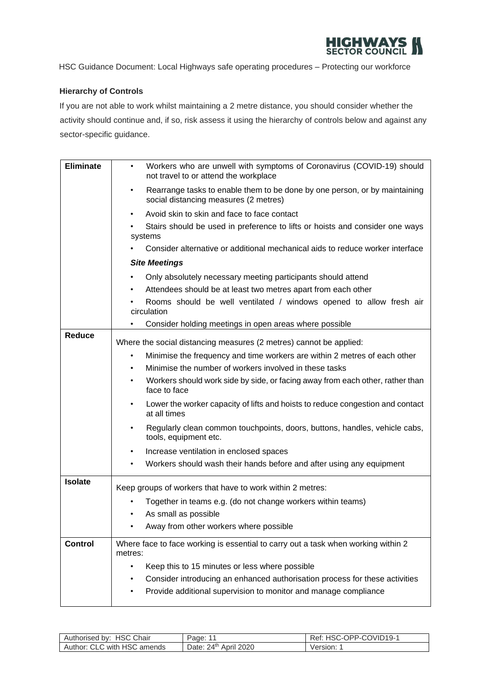

## **Hierarchy of Controls**

If you are not able to work whilst maintaining a 2 metre distance, you should consider whether the activity should continue and, if so, risk assess it using the hierarchy of controls below and against any sector-specific guidance.

| <b>Eliminate</b> | Workers who are unwell with symptoms of Coronavirus (COVID-19) should<br>$\bullet$<br>not travel to or attend the workplace                    |  |  |
|------------------|------------------------------------------------------------------------------------------------------------------------------------------------|--|--|
|                  | Rearrange tasks to enable them to be done by one person, or by maintaining<br>$\bullet$<br>social distancing measures (2 metres)               |  |  |
|                  | Avoid skin to skin and face to face contact                                                                                                    |  |  |
|                  | Stairs should be used in preference to lifts or hoists and consider one ways<br>systems                                                        |  |  |
|                  | Consider alternative or additional mechanical aids to reduce worker interface                                                                  |  |  |
|                  | <b>Site Meetings</b>                                                                                                                           |  |  |
|                  | Only absolutely necessary meeting participants should attend                                                                                   |  |  |
|                  | Attendees should be at least two metres apart from each other                                                                                  |  |  |
|                  | Rooms should be well ventilated / windows opened to allow fresh air<br>circulation                                                             |  |  |
|                  | Consider holding meetings in open areas where possible                                                                                         |  |  |
| <b>Reduce</b>    | Where the social distancing measures (2 metres) cannot be applied:                                                                             |  |  |
|                  | Minimise the frequency and time workers are within 2 metres of each other<br>$\bullet$                                                         |  |  |
|                  | Minimise the number of workers involved in these tasks                                                                                         |  |  |
|                  | Workers should work side by side, or facing away from each other, rather than<br>face to face                                                  |  |  |
|                  | Lower the worker capacity of lifts and hoists to reduce congestion and contact<br>at all times                                                 |  |  |
|                  | Regularly clean common touchpoints, doors, buttons, handles, vehicle cabs,<br>$\bullet$<br>tools, equipment etc.                               |  |  |
|                  | Increase ventilation in enclosed spaces                                                                                                        |  |  |
|                  | Workers should wash their hands before and after using any equipment                                                                           |  |  |
| <b>Isolate</b>   | Keep groups of workers that have to work within 2 metres:                                                                                      |  |  |
|                  | Together in teams e.g. (do not change workers within teams)                                                                                    |  |  |
|                  | As small as possible                                                                                                                           |  |  |
|                  | Away from other workers where possible                                                                                                         |  |  |
| <b>Control</b>   | Where face to face working is essential to carry out a task when working within 2<br>metres:                                                   |  |  |
|                  | Keep this to 15 minutes or less where possible<br>$\bullet$                                                                                    |  |  |
|                  | Consider introducing an enhanced authorisation process for these activities<br>Provide additional supervision to monitor and manage compliance |  |  |

| <b>HSC</b><br>Chair<br>Authorised by:  | Page:                               | COVID <sub>19-1</sub><br>OPP-L<br>ket.<br>--<br>. . |
|----------------------------------------|-------------------------------------|-----------------------------------------------------|
| with HSC<br>Author:<br>. . r<br>amends | $2\Delta$ th<br>April 2020<br>Date: | version: 1                                          |